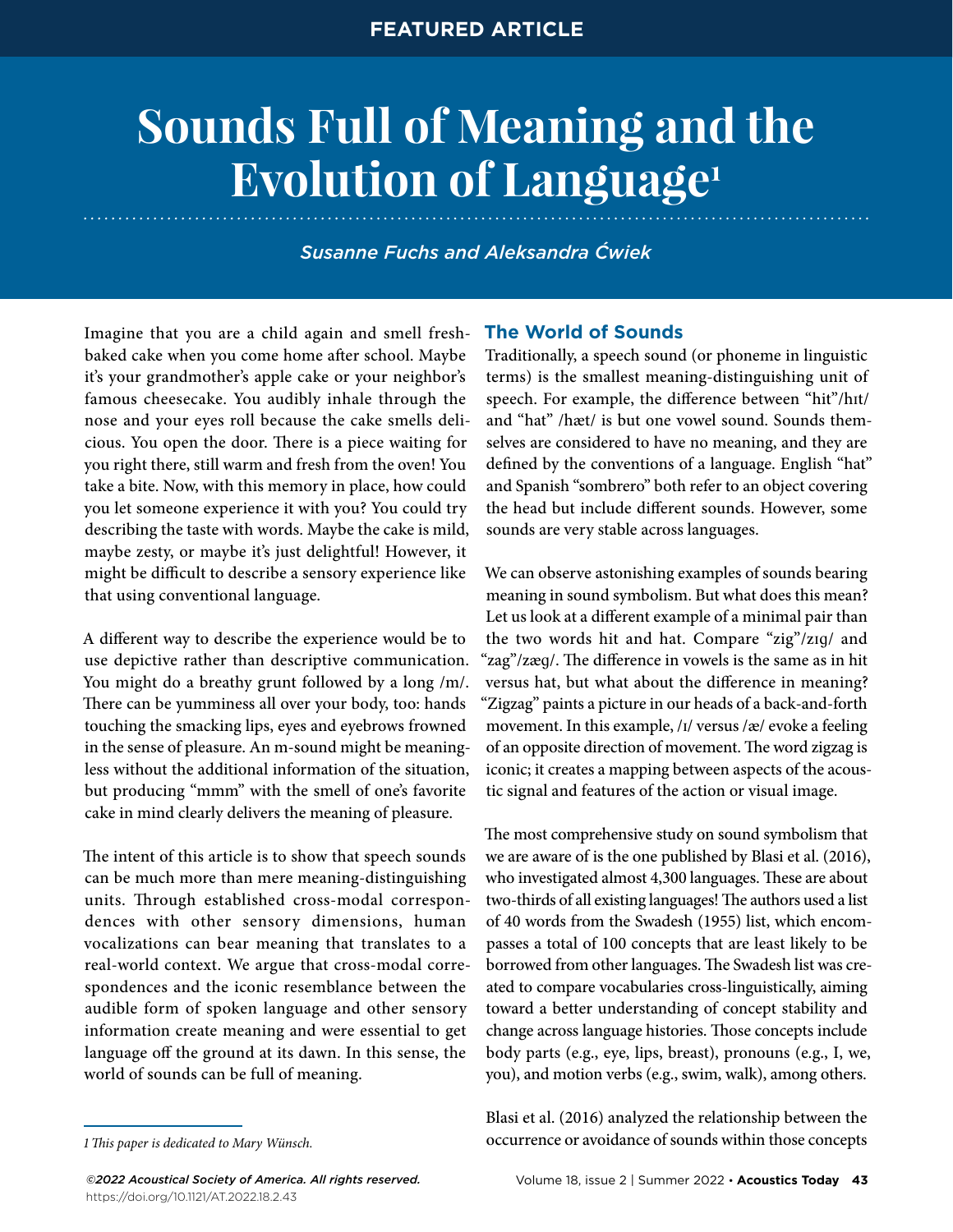# **Sounds Full of Meaning and the Evolution of Language1**

*Susanne Fuchs and Aleksandra Ćwiek*

Imagine that you are a child again and smell freshbaked cake when you come home after school. Maybe it's your grandmother's apple cake or your neighbor's famous cheesecake. You audibly inhale through the nose and your eyes roll because the cake smells delicious. You open the door. There is a piece waiting for you right there, still warm and fresh from the oven! You take a bite. Now, with this memory in place, how could you let someone experience it with you? You could try describing the taste with words. Maybe the cake is mild, maybe zesty, or maybe it's just delightful! However, it might be difficult to describe a sensory experience like that using conventional language.

A different way to describe the experience would be to use depictive rather than descriptive communication. You might do a breathy grunt followed by a long /m/. There can be yumminess all over your body, too: hands touching the smacking lips, eyes and eyebrows frowned in the sense of pleasure. An m-sound might be meaningless without the additional information of the situation, but producing "mmm" with the smell of one's favorite cake in mind clearly delivers the meaning of pleasure.

The intent of this article is to show that speech sounds can be much more than mere meaning-distinguishing units. Through established cross-modal correspondences with other sensory dimensions, human vocalizations can bear meaning that translates to a real-world context. We argue that cross-modal correspondences and the iconic resemblance between the audible form of spoken language and other sensory information create meaning and were essential to get language off the ground at its dawn. In this sense, the world of sounds can be full of meaning.

# **The World of Sounds**

Traditionally, a speech sound (or phoneme in linguistic terms) is the smallest meaning-distinguishing unit of speech. For example, the difference between "hit"/hɪt/ and "hat" /hæt/ is but one vowel sound. Sounds themselves are considered to have no meaning, and they are defined by the conventions of a language. English "hat" and Spanish "sombrero" both refer to an object covering the head but include different sounds. However, some sounds are very stable across languages.

We can observe astonishing examples of sounds bearing meaning in sound symbolism. But what does this mean? Let us look at a different example of a minimal pair than the two words hit and hat. Compare "zig"/zɪɡ/ and "zag"/zæɡ/. The difference in vowels is the same as in hit versus hat, but what about the difference in meaning? "Zigzag" paints a picture in our heads of a back-and-forth movement. In this example, /ɪ/ versus /æ/ evoke a feeling of an opposite direction of movement. The word zigzag is iconic; it creates a mapping between aspects of the acoustic signal and features of the action or visual image.

The most comprehensive study on sound symbolism that we are aware of is the one published by Blasi et al. (2016), who investigated almost 4,300 languages. These are about two-thirds of all existing languages! The authors used a list of 40 words from the Swadesh (1955) list, which encompasses a total of 100 concepts that are least likely to be borrowed from other languages. The Swadesh list was created to compare vocabularies cross-linguistically, aiming toward a better understanding of concept stability and change across language histories. Those concepts include body parts (e.g., eye, lips, breast), pronouns (e.g., I, we, you), and motion verbs (e.g., swim, walk), among others.

Blasi et al. (2016) analyzed the relationship between the occurrence or avoidance of sounds within those concepts

*<sup>1</sup>This paper is dedicated to Mary Wünsch.*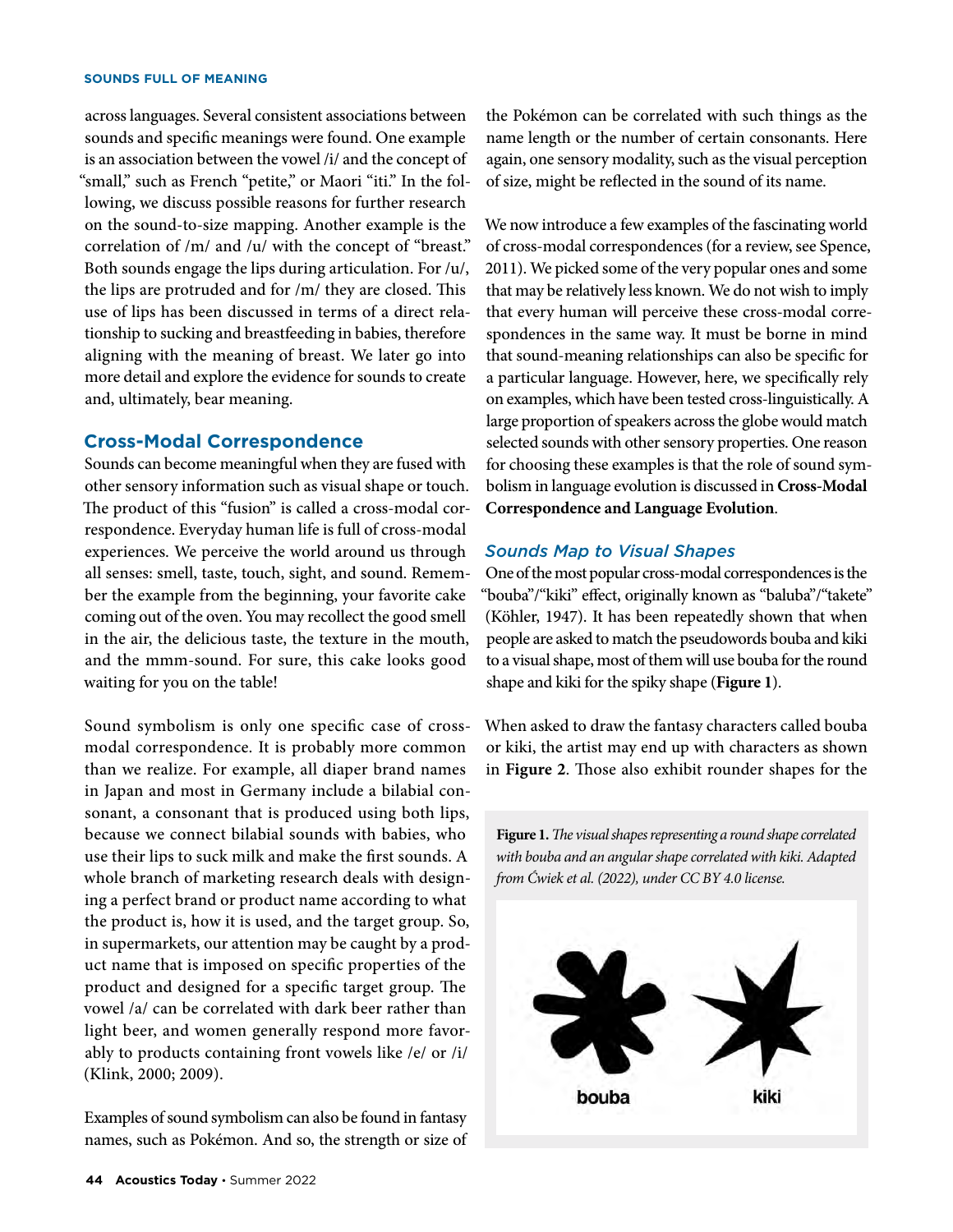across languages. Several consistent associations between sounds and specific meanings were found. One example is an association between the vowel /i/ and the concept of "small," such as French "petite," or Maori "iti." In the following, we discuss possible reasons for further research on the sound-to-size mapping. Another example is the correlation of /m/ and /u/ with the concept of "breast." Both sounds engage the lips during articulation. For /u/, the lips are protruded and for /m/ they are closed. This use of lips has been discussed in terms of a direct relationship to sucking and breastfeeding in babies, therefore aligning with the meaning of breast. We later go into more detail and explore the evidence for sounds to create and, ultimately, bear meaning.

# **Cross-Modal Correspondence**

Sounds can become meaningful when they are fused with other sensory information such as visual shape or touch. The product of this "fusion" is called a cross-modal correspondence. Everyday human life is full of cross-modal experiences. We perceive the world around us through all senses: smell, taste, touch, sight, and sound. Remember the example from the beginning, your favorite cake coming out of the oven. You may recollect the good smell in the air, the delicious taste, the texture in the mouth, and the mmm-sound. For sure, this cake looks good waiting for you on the table!

Sound symbolism is only one specific case of crossmodal correspondence. It is probably more common than we realize. For example, all diaper brand names in Japan and most in Germany include a bilabial consonant, a consonant that is produced using both lips, because we connect bilabial sounds with babies, who use their lips to suck milk and make the first sounds. A whole branch of marketing research deals with designing a perfect brand or product name according to what the product is, how it is used, and the target group. So, in supermarkets, our attention may be caught by a product name that is imposed on specific properties of the product and designed for a specific target group. The vowel /a/ can be correlated with dark beer rather than light beer, and women generally respond more favorably to products containing front vowels like /e/ or /i/ (Klink, 2000; 2009).

Examples of sound symbolism can also be found in fantasy names, such as Pokémon. And so, the strength or size of the Pokémon can be correlated with such things as the name length or the number of certain consonants. Here again, one sensory modality, such as the visual perception of size, might be reflected in the sound of its name.

We now introduce a few examples of the fascinating world of cross-modal correspondences (for a review, see [Spence,](https://www.zotero.org/google-docs/?7FwQDx)  [2011\)](https://www.zotero.org/google-docs/?7FwQDx). We picked some of the very popular ones and some that may be relatively less known. We do not wish to imply that every human will perceive these cross-modal correspondences in the same way. It must be borne in mind that sound-meaning relationships can also be specific for a particular language. However, here, we specifically rely on examples, which have been tested cross-linguistically. A large proportion of speakers across the globe would match selected sounds with other sensory properties. One reason for choosing these examples is that the role of sound symbolism in language evolution is discussed in **Cross-Modal Correspondence and Language Evolution**.

# *Sounds Map to Visual Shapes*

One of the most popular cross-modal correspondences is the "bouba"/"kiki" effect, originally known as "baluba"/"takete" (Köhler, 1947). It has been repeatedly shown that when people are asked to match the pseudowords bouba and kiki to a visual shape, most of them will use bouba for the round shape and kiki for the spiky shape (**Figure 1**).

When asked to draw the fantasy characters called bouba or kiki, the artist may end up with characters as shown in **Figure 2**. Those also exhibit rounder shapes for the

**Figure 1.** *The visual shapes representing a round shape correlated with bouba and an angular shape correlated with kiki. Adapted from Ćwiek et al. (2022), under CC BY 4.0 license.*

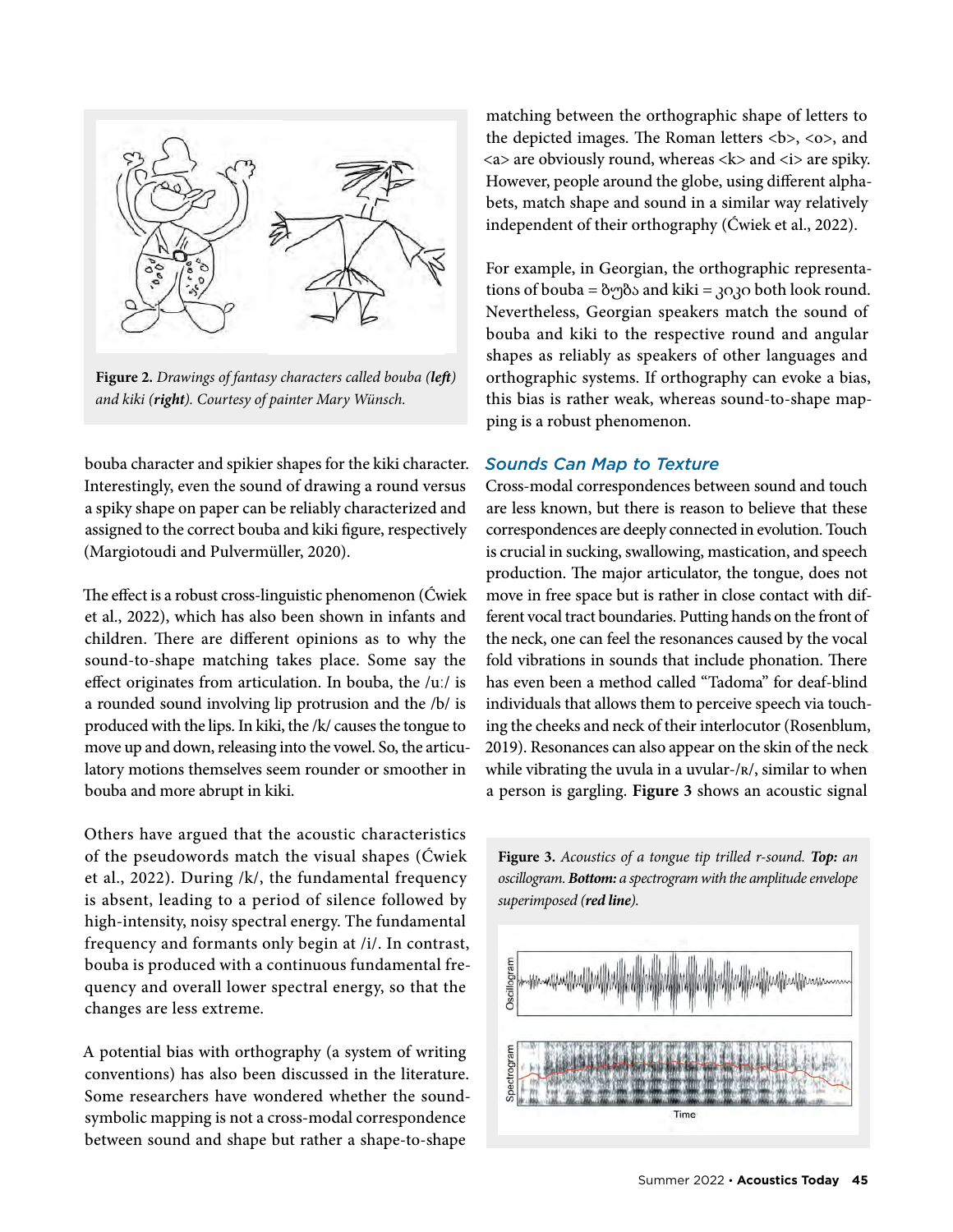

**Figure 2.** *Drawings of fantasy characters called bouba (left) and kiki (right). Courtesy of painter Mary Wünsch.*

bouba character and spikier shapes for the kiki character. Interestingly, even the sound of drawing a round versus a spiky shape on paper can be reliably characterized and assigned to the correct bouba and kiki figure, respectively (Margiotoudi and Pulvermüller, 2020).

The effect is a robust cross-linguistic phenomenon (Ćwiek et al., 2022), which has also been shown in infants and children. There are different opinions as to why the sound-to-shape matching takes place. Some say the effect originates from articulation. In bouba, the /uː/ is a rounded sound involving lip protrusion and the /b/ is produced with the lips. In kiki, the /k/ causes the tongue to move up and down, releasing into the vowel. So, the articulatory motions themselves seem rounder or smoother in bouba and more abrupt in kiki.

Others have argued that the acoustic characteristics of the pseudowords match the visual shapes (Ćwiek et al., 2022). During /k/, the fundamental frequency is absent, leading to a period of silence followed by high-intensity, noisy spectral energy. The fundamental frequency and formants only begin at /i/. In contrast, bouba is produced with a continuous fundamental frequency and overall lower spectral energy, so that the changes are less extreme.

A potential bias with orthography (a system of writing conventions) has also been discussed in the literature. Some researchers have wondered whether the soundsymbolic mapping is not a cross-modal correspondence between sound and shape but rather a shape-to-shape

matching between the orthographic shape of letters to the depicted images. The Roman letters **,**  $**8**$ **, and**  $\langle a \rangle$  are obviously round, whereas  $\langle k \rangle$  and  $\langle i \rangle$  are spiky. However, people around the globe, using different alphabets, match shape and sound in a similar way relatively independent of their orthography (Ćwiek et al., 2022).

For example, in Georgian, the orthographic representations of bouba =  $\frac{\partial \phi}{\partial \phi}$  and kiki = 3030 both look round. Nevertheless, Georgian speakers match the sound of bouba and kiki to the respective round and angular shapes as reliably as speakers of other languages and orthographic systems. If orthography can evoke a bias, this bias is rather weak, whereas sound-to-shape mapping is a robust phenomenon.

# *Sounds Can Map to Texture*

Cross-modal correspondences between sound and touch are less known, but there is reason to believe that these correspondences are deeply connected in evolution. Touch is crucial in sucking, swallowing, mastication, and speech production. The major articulator, the tongue, does not move in free space but is rather in close contact with different vocal tract boundaries. Putting hands on the front of the neck, one can feel the resonances caused by the vocal fold vibrations in sounds that include phonation. There has even been a method called "Tadoma" for deaf-blind individuals that allows them to perceive speech via touching the cheeks and neck of their interlocutor (Rosenblum, 2019). Resonances can also appear on the skin of the neck while vibrating the uvula in a uvular-/ʀ/, similar to when a person is gargling. **Figure 3** shows an acoustic signal



**Figure 3.** *Acoustics of a tongue tip trilled r-sound. Top: an oscillogram. Bottom: a spectrogram with the amplitude envelope superimposed (red line).*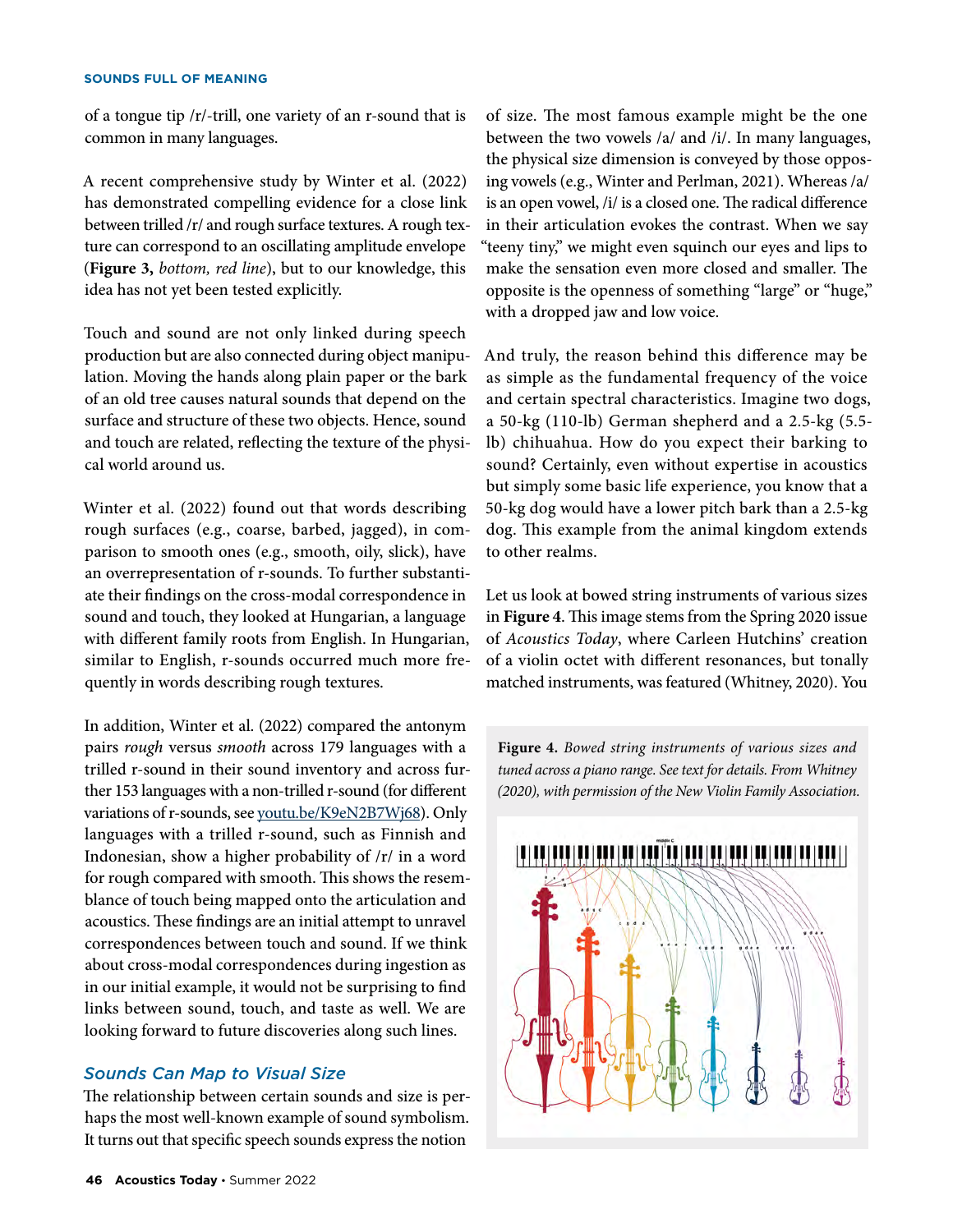of a tongue tip /r/-trill, one variety of an r-sound that is common in many languages.

A recent comprehensive study by Winter et al. (2022) has demonstrated compelling evidence for a close link between trilled /r/ and rough surface textures. A rough texture can correspond to an oscillating amplitude envelope (**Figure 3,** *bottom, red line*), but to our knowledge, this idea has not yet been tested explicitly.

Touch and sound are not only linked during speech production but are also connected during object manipulation. Moving the hands along plain paper or the bark of an old tree causes natural sounds that depend on the surface and structure of these two objects. Hence, sound and touch are related, reflecting the texture of the physical world around us.

Winter et al. (2022) found out that words describing rough surfaces (e.g., coarse, barbed, jagged), in comparison to smooth ones (e.g., smooth, oily, slick), have an overrepresentation of r-sounds. To further substantiate their findings on the cross-modal correspondence in sound and touch, they looked at Hungarian, a language with different family roots from English. In Hungarian, similar to English, r-sounds occurred much more frequently in words describing rough textures.

In addition, Winter et al. (2022) compared the antonym pairs *rough* versus *smooth* across 179 languages with a trilled r-sound in their sound inventory and across further 153 languages with a non-trilled r-sound (for different variations of r-sounds, see [youtu.be/K9eN2B7Wj68](https://youtu.be/K9eN2B7Wj68)). Only languages with a trilled r-sound, such as Finnish and Indonesian, show a higher probability of /r/ in a word for rough compared with smooth. This shows the resemblance of touch being mapped onto the articulation and acoustics. These findings are an initial attempt to unravel correspondences between touch and sound. If we think about cross-modal correspondences during ingestion as in our initial example, it would not be surprising to find links between sound, touch, and taste as well. We are looking forward to future discoveries along such lines.

# *Sounds Can Map to Visual Size*

The relationship between certain sounds and size is perhaps the most well-known example of sound symbolism. It turns out that specific speech sounds express the notion

of size. The most famous example might be the one between the two vowels /a/ and /i/. In many languages, the physical size dimension is conveyed by those opposing vowels (e.g., Winter and Perlman, 2021). Whereas /a/ is an open vowel, /i/ is a closed one. The radical difference in their articulation evokes the contrast. When we say "teeny tiny," we might even squinch our eyes and lips to make the sensation even more closed and smaller. The opposite is the openness of something "large" or "huge," with a dropped jaw and low voice.

And truly, the reason behind this difference may be as simple as the fundamental frequency of the voice and certain spectral characteristics. Imagine two dogs, a 50-kg (110-lb) German shepherd and a 2.5-kg (5.5 lb) chihuahua. How do you expect their barking to sound? Certainly, even without expertise in acoustics but simply some basic life experience, you know that a 50-kg dog would have a lower pitch bark than a 2.5-kg dog. This example from the animal kingdom extends to other realms.

Let us look at bowed string instruments of various sizes in **Figure 4**. This image stems from the Spring 2020 issue of *Acoustics Today*, where Carleen Hutchins' creation of a violin octet with different resonances, but tonally matched instruments, was featured (Whitney, 2020). You

**Figure 4.** *Bowed string instruments of various sizes and tuned across a piano range. See text for details. From Whitney (2020), with permission of the New Violin Family Association.* 

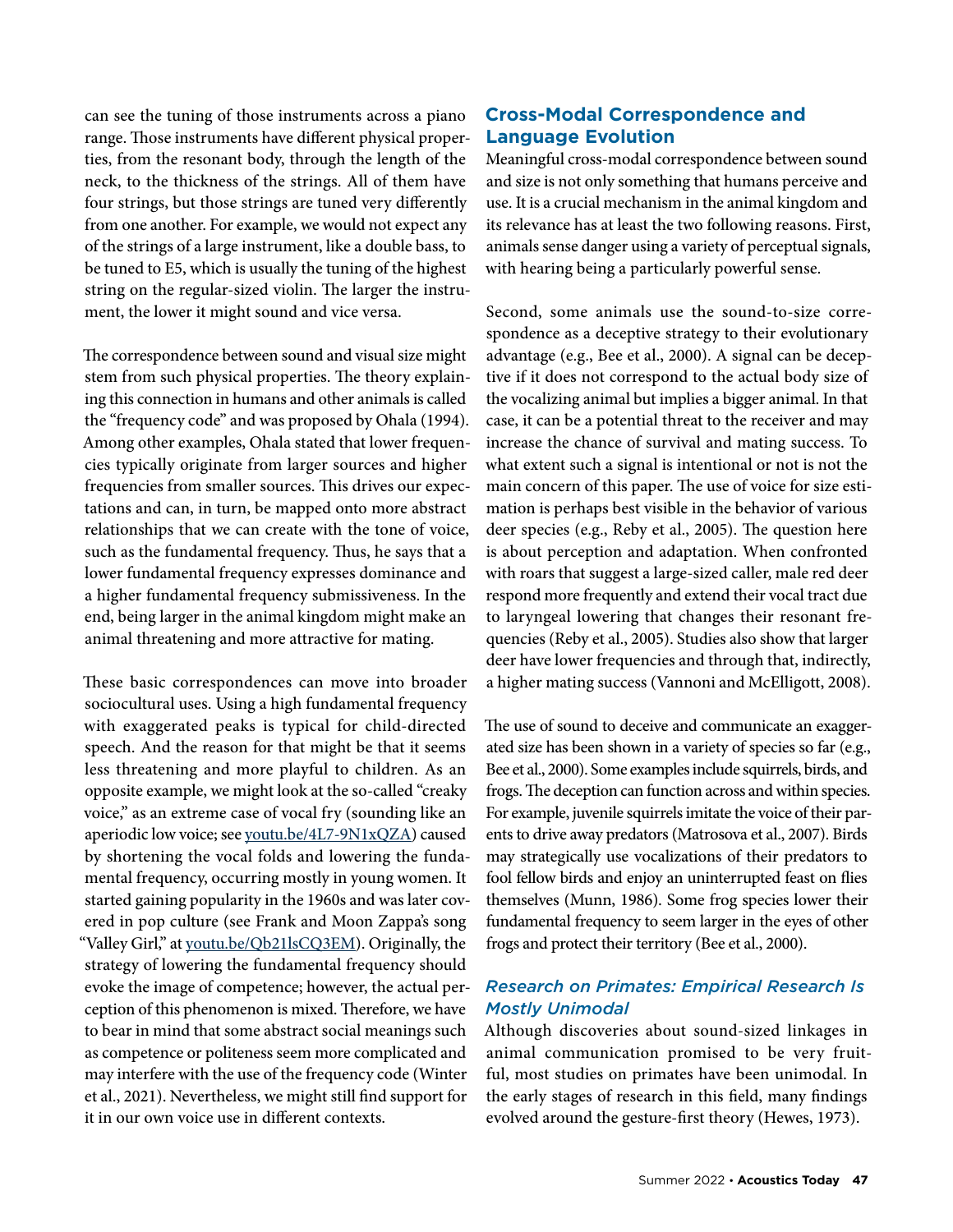can see the tuning of those instruments across a piano range. Those instruments have different physical properties, from the resonant body, through the length of the neck, to the thickness of the strings. All of them have four strings, but those strings are tuned very differently from one another. For example, we would not expect any of the strings of a large instrument, like a double bass, to be tuned to E5, which is usually the tuning of the highest string on the regular-sized violin. The larger the instrument, the lower it might sound and vice versa.

The correspondence between sound and visual size might stem from such physical properties. The theory explaining this connection in humans and other animals is called the "frequency code" and was proposed by Ohala [\(1994\)](https://www.zotero.org/google-docs/?Ckh21y). Among other examples, Ohala stated that lower frequencies typically originate from larger sources and higher frequencies from smaller sources. This drives our expectations and can, in turn, be mapped onto more abstract relationships that we can create with the tone of voice, such as the fundamental frequency. Thus, he says that a lower fundamental frequency expresses dominance and a higher fundamental frequency submissiveness. In the end, being larger in the animal kingdom might make an animal threatening and more attractive for mating.

These basic correspondences can move into broader sociocultural uses. Using a high fundamental frequency with exaggerated peaks is typical for child-directed speech. And the reason for that might be that it seems less threatening and more playful to children. As an opposite example, we might look at the so-called "creaky voice," as an extreme case of vocal fry (sounding like an aperiodic low voice; see [youtu.be/4L7-9N1xQZA](https://youtu.be/4L7-9N1xQZA)) caused by shortening the vocal folds and lowering the fundamental frequency, occurring mostly in young women. It started gaining popularity in the 1960s and was later covered in pop culture (see Frank and Moon Zappa's song "Valley Girl," at [youtu.be/Qb21lsCQ3EM](https://youtu.be/Qb21lsCQ3EM)). Originally, the strategy of lowering the fundamental frequency should evoke the image of competence; however, the actual perception of this phenomenon is mixed. Therefore, we have to bear in mind that some abstract social meanings such as competence or politeness seem more complicated and may interfere with the use of the frequency code [\(Winter](https://www.zotero.org/google-docs/?pGQvIx) [et al., 2021\)](https://www.zotero.org/google-docs/?pGQvIx). Nevertheless, we might still find support for it in our own voice use in different contexts.

# **Cross-Modal Correspondence and Language Evolution**

Meaningful cross-modal correspondence between sound and size is not only something that humans perceive and use. It is a crucial mechanism in the animal kingdom and its relevance has at least the two following reasons. First, animals sense danger using a variety of perceptual signals, with hearing being a particularly powerful sense.

Second, some animals use the sound-to-size correspondence as a deceptive strategy to their evolutionary advantage (e.g., Bee et al., 2000). A signal can be deceptive if it does not correspond to the actual body size of the vocalizing animal but implies a bigger animal. In that case, it can be a potential threat to the receiver and may increase the chance of survival and mating success. To what extent such a signal is intentional or not is not the main concern of this paper. The use of voice for size estimation is perhaps best visible in the behavior of various deer species (e.g., Reby et al., 2005). The question here is about perception and adaptation. When confronted with roars that suggest a large-sized caller, male red deer respond more frequently and extend their vocal tract due to laryngeal lowering that changes their resonant frequencies [\(Reby et al., 2005\)](https://www.zotero.org/google-docs/?Q0JPrM). Studies also show that larger deer have lower frequencies and through that, indirectly, a higher mating success (Vannoni and McElligott, 2008).

The use of sound to deceive and communicate an exaggerated size has been shown in a variety of species so far (e.g., Bee et al., 2000). Some examples include squirrels, birds, and frogs. The deception can function across and within species. For example, juvenile squirrels imitate the voice of their parents to drive away predators (Matrosova et al., 2007). Birds may strategically use vocalizations of their predators to fool fellow birds and enjoy an uninterrupted feast on flies themselves (Munn, 1986). Some frog species lower their fundamental frequency to seem larger in the eyes of other frogs and protect their territory (Bee et al., 2000).

# *Research on Primates: Empirical Research Is Mostly Unimodal*

Although discoveries about sound-sized linkages in animal communication promised to be very fruitful, most studies on primates have been unimodal. In the early stages of research in this field, many findings evolved around the gesture-first theory (Hewes, 1973).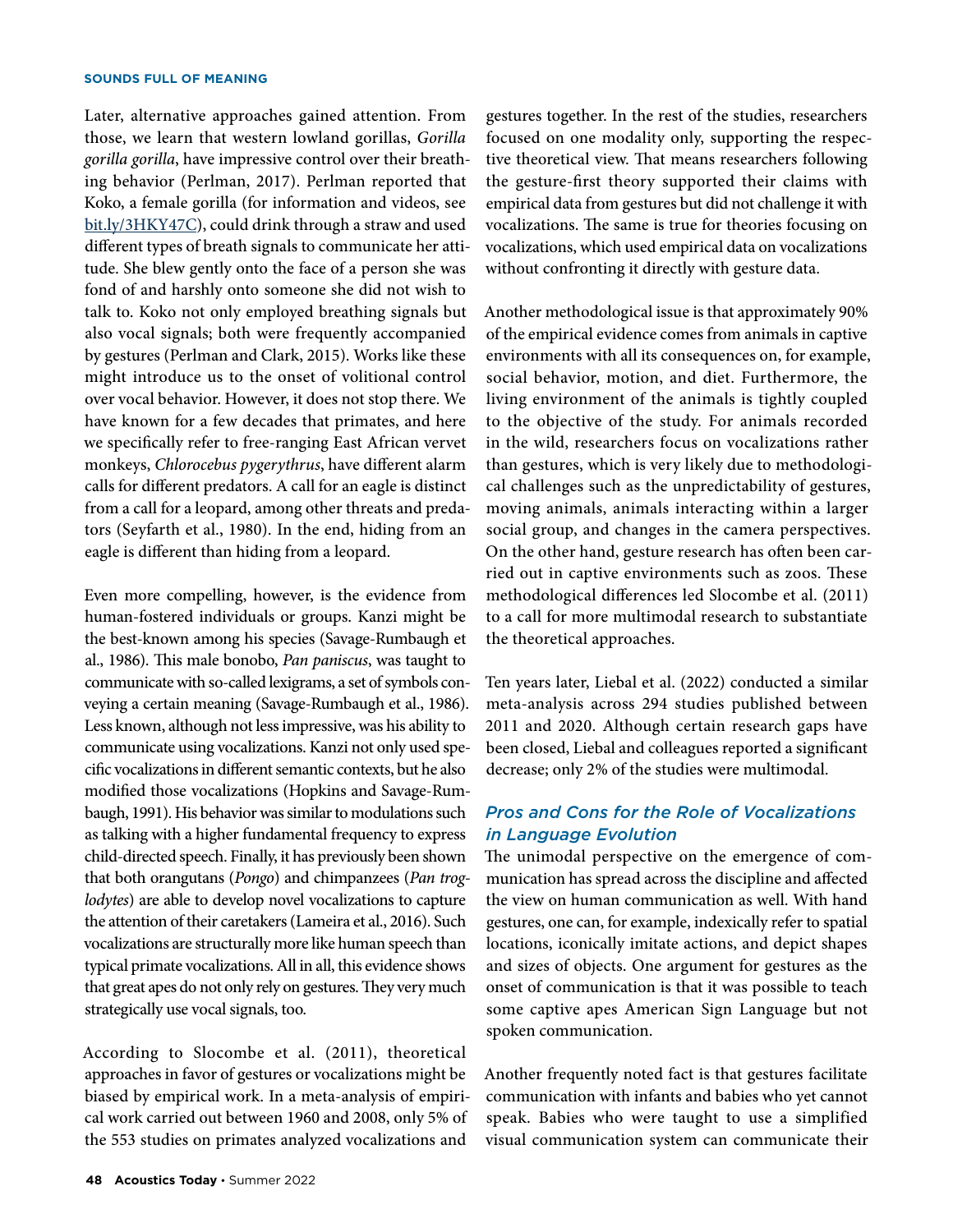Later, alternative approaches gained attention. From those, we learn that western lowland gorillas, *Gorilla gorilla gorilla*, have impressive control over their breathing behavior (Perlman, 2017). Perlman reported that Koko, a female gorilla (for information and videos, see [bit.ly/3HKY47C](https://bit.ly/3HKY47C)), could drink through a straw and used different types of breath signals to communicate her attitude. She blew gently onto the face of a person she was fond of and harshly onto someone she did not wish to talk to. Koko not only employed breathing signals but also vocal signals; both were frequently accompanied by gestures (Perlman and Clark, 2015). Works like these might introduce us to the onset of volitional control over vocal behavior. However, it does not stop there. We have known for a few decades that primates, and here we specifically refer to free-ranging East African vervet monkeys, *Chlorocebus pygerythrus*, have different alarm calls for different predators. A call for an eagle is distinct from a call for a leopard, among other threats and predators (Seyfarth et al., 1980). In the end, hiding from an eagle is different than hiding from a leopard.

Even more compelling, however, is the evidence from human-fostered individuals or groups. Kanzi might be the best-known among his species (Savage-Rumbaugh et al., 1986). This male bonobo, *Pan paniscus*, was taught to communicate with so-called lexigrams, a set of symbols conveying a certain meaning (Savage-Rumbaugh et al., 1986). Less known, although not less impressive, was his ability to communicate using vocalizations. Kanzi not only used specific vocalizations in different semantic contexts, but he also modified those vocalizations (Hopkins and Savage-Rumbaugh, 1991). His behavior was similar to modulations such as talking with a higher fundamental frequency to express child-directed speech. Finally, it has previously been shown that both orangutans (*Pongo*) and chimpanzees (*Pan troglodytes*) are able to develop novel vocalizations to capture the attention of their caretakers (Lameira et al., 2016). Such vocalizations are structurally more like human speech than typical primate vocalizations. All in all, this evidence shows that great apes do not only rely on gestures. They very much strategically use vocal signals, too.

According to Slocombe et al. [\(2011\),](https://www.zotero.org/google-docs/?iDTH2e) theoretical approaches in favor of gestures or vocalizations might be biased by empirical work. In a meta-analysis of empirical work carried out between 1960 and 2008, only 5% of the 553 studies on primates analyzed vocalizations and

gestures together. In the rest of the studies, researchers focused on one modality only, supporting the respective theoretical view. That means researchers following the gesture-first theory supported their claims with empirical data from gestures but did not challenge it with vocalizations. The same is true for theories focusing on vocalizations, which used empirical data on vocalizations without confronting it directly with gesture data.

Another methodological issue is that approximately 90% of the empirical evidence comes from animals in captive environments with all its consequences on, for example, social behavior, motion, and diet. Furthermore, the living environment of the animals is tightly coupled to the objective of the study. For animals recorded in the wild, researchers focus on vocalizations rather than gestures, which is very likely due to methodological challenges such as the unpredictability of gestures, moving animals, animals interacting within a larger social group, and changes in the camera perspectives. On the other hand, gesture research has often been carried out in captive environments such as zoos. These methodological differences led Slocombe et al. [\(2011\)](https://www.zotero.org/google-docs/?8SrHJY) to a call for more multimodal research to substantiate the theoretical approaches.

Ten years later, Liebal et al. [\(2022\)](https://www.zotero.org/google-docs/?PbGxpC) conducted a similar meta-analysis across 294 studies published between 2011 and 2020. Although certain research gaps have been closed, Liebal and colleagues reported a significant decrease; only 2% of the studies were multimodal.

# *Pros and Cons for the Role of Vocalizations in Language Evolution*

The unimodal perspective on the emergence of communication has spread across the discipline and affected the view on human communication as well. With hand gestures, one can, for example, indexically refer to spatial locations, iconically imitate actions, and depict shapes and sizes of objects. One argument for gestures as the onset of communication is that it was possible to teach some captive apes American Sign Language but not spoken communication.

Another frequently noted fact is that gestures facilitate communication with infants and babies who yet cannot speak. Babies who were taught to use a simplified visual communication system can communicate their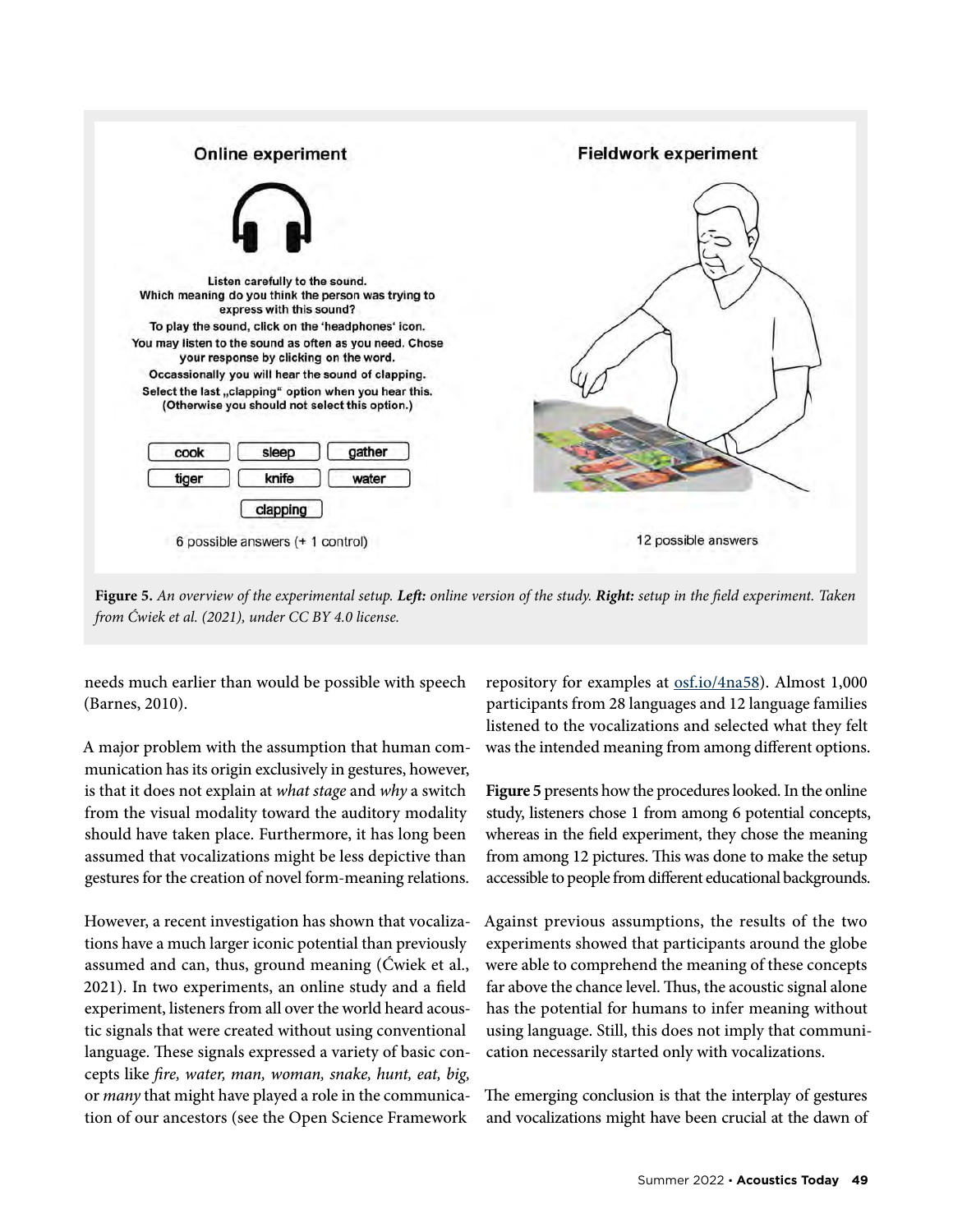

**Figure 5.** *An overview of the experimental setup. Left: online version of the study. Right: setup in the field experiment. Taken from Ćwiek et al. (2021), under CC BY 4.0 license.*

needs much earlier than would be possible with speech (Barnes, 2010).

A major problem with the assumption that human communication has its origin exclusively in gestures, however, is that it does not explain at *what stage* and *why* a switch from the visual modality toward the auditory modality should have taken place. Furthermore, it has long been assumed that vocalizations might be less depictive than gestures for the creation of novel form-meaning relations.

However, a recent investigation has shown that vocalizations have a much larger iconic potential than previously assumed and can, thus, ground meaning (Ćwiek et al., 2021). In two experiments, an online study and a field experiment, listeners from all over the world heard acoustic signals that were created without using conventional language. These signals expressed a variety of basic concepts like *fire, water, man, woman, snake, hunt, eat, big,* or *many* that might have played a role in the communication of our ancestors (see the Open Science Framework

repository for examples at [osf.io/4na58](https://osf.io/4na58/)). Almost 1,000 participants from 28 languages and 12 language families listened to the vocalizations and selected what they felt was the intended meaning from among different options.

**Figure 5** presents how the procedures looked. In the online study, listeners chose 1 from among 6 potential concepts, whereas in the field experiment, they chose the meaning from among 12 pictures. This was done to make the setup accessible to people from different educational backgrounds.

Against previous assumptions, the results of the two experiments showed that participants around the globe were able to comprehend the meaning of these concepts far above the chance level. Thus, the acoustic signal alone has the potential for humans to infer meaning without using language. Still, this does not imply that communication necessarily started only with vocalizations.

The emerging conclusion is that the interplay of gestures and vocalizations might have been crucial at the dawn of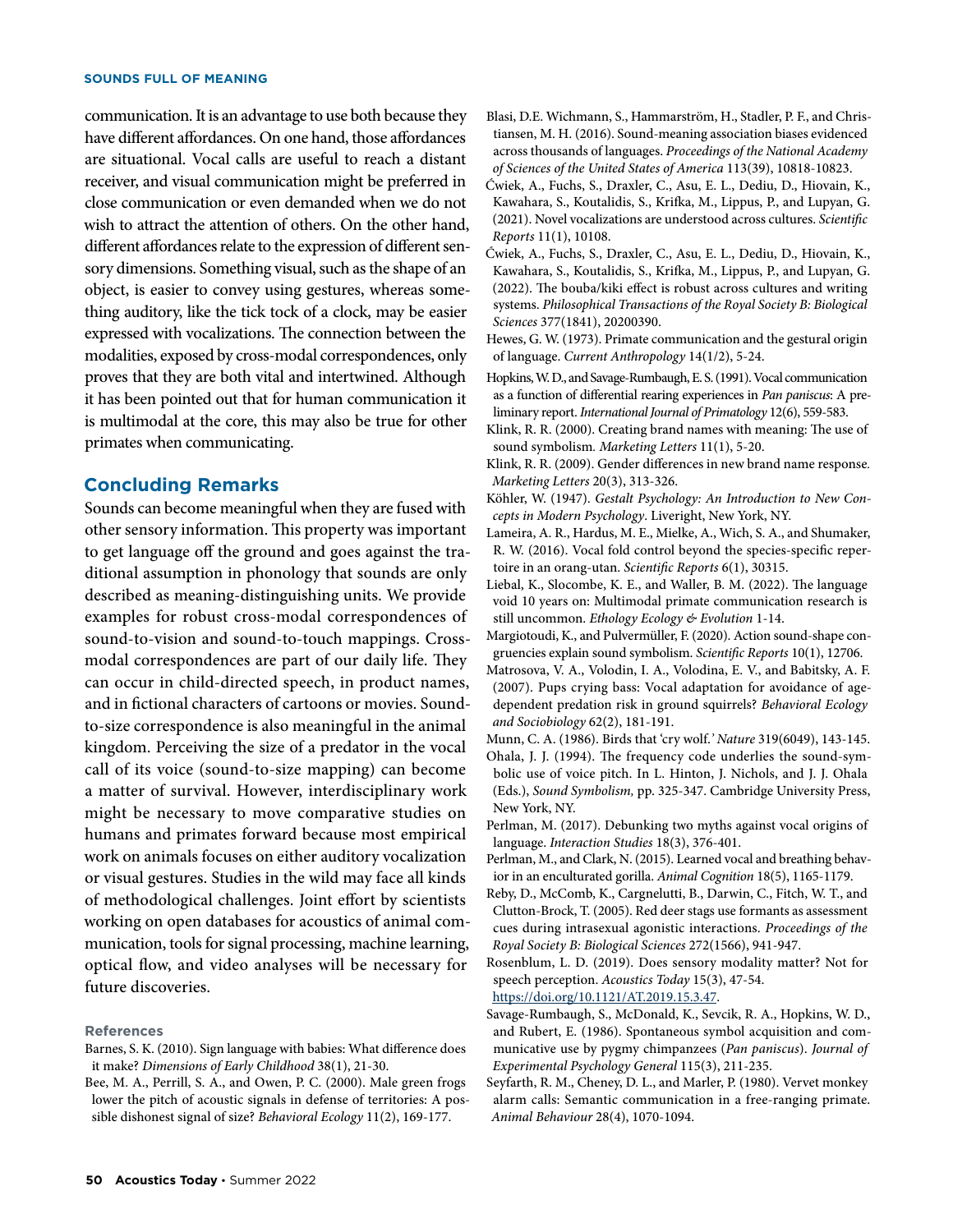communication. It is an advantage to use both because they have different affordances. On one hand, those affordances are situational. Vocal calls are useful to reach a distant receiver, and visual communication might be preferred in close communication or even demanded when we do not wish to attract the attention of others. On the other hand, different affordances relate to the expression of different sensory dimensions. Something visual, such as the shape of an object, is easier to convey using gestures, whereas something auditory, like the tick tock of a clock, may be easier expressed with vocalizations. The connection between the modalities, exposed by cross-modal correspondences, only proves that they are both vital and intertwined. Although it has been pointed out that for human communication it is multimodal at the core, this may also be true for other primates when communicating.

# **Concluding Remarks**

Sounds can become meaningful when they are fused with other sensory information. This property was important to get language off the ground and goes against the traditional assumption in phonology that sounds are only described as meaning-distinguishing units. We provide examples for robust cross-modal correspondences of sound-to-vision and sound-to-touch mappings. Crossmodal correspondences are part of our daily life. They can occur in child-directed speech, in product names, and in fictional characters of cartoons or movies. Soundto-size correspondence is also meaningful in the animal kingdom. Perceiving the size of a predator in the vocal call of its voice (sound-to-size mapping) can become a matter of survival. However, interdisciplinary work might be necessary to move comparative studies on humans and primates forward because most empirical work on animals focuses on either auditory vocalization or visual gestures. Studies in the wild may face all kinds of methodological challenges. Joint effort by scientists working on open databases for acoustics of animal communication, tools for signal processing, machine learning, optical flow, and video analyses will be necessary for future discoveries.

#### **References**

- Barnes, S. K. (2010). Sign language with babies: What difference does it make? *Dimensions of Early Childhood* 38(1), 21-30.
- Bee, M. A., Perrill, S. A., and Owen, P. C. (2000). Male green frogs lower the pitch of acoustic signals in defense of territories: A possible dishonest signal of size? *Behavioral Ecology* 11(2), 169-177.
- Blasi, D.E. Wichmann, S., Hammarström, H., Stadler, P. F., and Christiansen, M. H. (2016). Sound-meaning association biases evidenced across thousands of languages. *Proceedings of the National Academy of Sciences of the United States of America* 113(39), 10818-10823.
- Ćwiek, A., Fuchs, S., Draxler, C., Asu, E. L., Dediu, D., Hiovain, K., Kawahara, S., Koutalidis, S., Krifka, M., Lippus, P., and Lupyan, G. (2021). Novel vocalizations are understood across cultures. *Scientific Reports* 11(1), 10108.
- Ćwiek, A., Fuchs, S., Draxler, C., Asu, E. L., Dediu, D., Hiovain, K., Kawahara, S., Koutalidis, S., Krifka, M., Lippus, P., and Lupyan, G. (2022). The bouba/kiki effect is robust across cultures and writing systems. *Philosophical Transactions of the Royal Society B: Biological Sciences* 377(1841), 20200390.
- Hewes, G. W. (1973). Primate communication and the gestural origin of language. *Current Anthropology* 14(1/2), 5-24.
- Hopkins, W. D., and Savage-Rumbaugh, E. S. (1991). Vocal communication as a function of differential rearing experiences in *Pan paniscus*: A preliminary report.*International Journal of Primatology* 12(6), 559-583.
- Klink, R. R. (2000). Creating brand names with meaning: The use of sound symbolism*. Marketing Letters* 11(1), 5-20.
- Klink, R. R. (2009). Gender differences in new brand name response*. Marketing Letters* 20(3), 313-326.
- Köhler, W. (1947). *Gestalt Psychology: An Introduction to New Concepts in Modern Psychology*. Liveright, New York, NY.
- Lameira, A. R., Hardus, M. E., Mielke, A., Wich, S. A., and Shumaker, R. W. (2016). Vocal fold control beyond the species-specific repertoire in an orang-utan. *Scientific Reports* 6(1), 30315.
- Liebal, K., Slocombe, K. E., and Waller, B. M. (2022). The language void 10 years on: Multimodal primate communication research is still uncommon. *Ethology Ecology & Evolution* 1-14.
- Margiotoudi, K., and Pulvermüller, F. (2020). Action sound-shape congruencies explain sound symbolism. *Scientific Reports* 10(1), 12706.
- Matrosova, V. A., Volodin, I. A., Volodina, E. V., and Babitsky, A. F. (2007). Pups crying bass: Vocal adaptation for avoidance of agedependent predation risk in ground squirrels? *Behavioral Ecology and Sociobiology* 62(2), 181-191.
- Munn, C. A. (1986). Birds that 'cry wolf.*' Nature* 319(6049), 143-145. Ohala, J. J. (1994). The frequency code underlies the sound-symbolic use of voice pitch. In L. Hinton, J. Nichols, and J. J. Ohala (Eds.), *Sound Symbolism,* pp. 325-347. Cambridge University Press, New York, NY.
- Perlman, M. (2017). Debunking two myths against vocal origins of language. *Interaction Studies* 18(3), 376-401.
- Perlman, M., and Clark, N. (2015). Learned vocal and breathing behavior in an enculturated gorilla. *Animal Cognition* 18(5), 1165-1179.
- Reby, D., McComb, K., Cargnelutti, B., Darwin, C., Fitch, W. T., and Clutton-Brock, T. (2005). Red deer stags use formants as assessment cues during intrasexual agonistic interactions. *Proceedings of the Royal Society B: Biological Sciences* 272(1566), 941-947.

Rosenblum, L. D. (2019). Does sensory modality matter? Not for speech perception. *Acoustics Today* 15(3), 47-54. [https://doi.org/10.1121/AT.2019.15.3.47.](https://doi.org/10.1121/AT.2019.15.3.47)

- Savage-Rumbaugh, S., McDonald, K., Sevcik, R. A., Hopkins, W. D., and Rubert, E. (1986). Spontaneous symbol acquisition and communicative use by pygmy chimpanzees (*Pan paniscus*). *Journal of Experimental Psychology General* 115(3), 211-235.
- Seyfarth, R. M., Cheney, D. L., and Marler, P. (1980). Vervet monkey alarm calls: Semantic communication in a free-ranging primate. *Animal Behaviour* 28(4), 1070-1094.